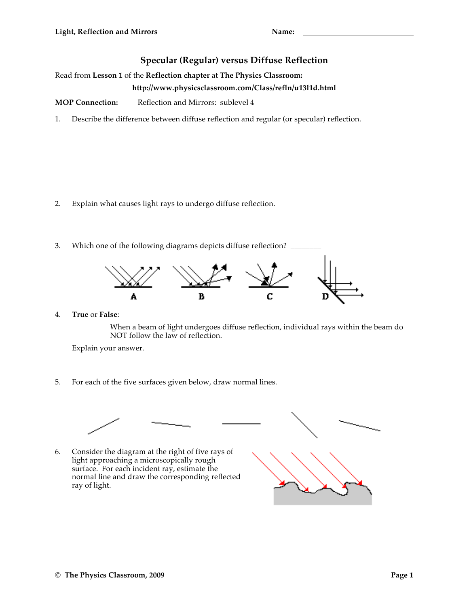## **Specular (Regular) versus Diffuse Reflection**

Read from **Lesson 1** of the **Reflection chapter** at **The Physics Classroom:**

## **http://www.physicsclassroom.com/Class/refln/u13l1d.html**

**MOP Connection:** Reflection and Mirrors: sublevel 4

1. Describe the difference between diffuse reflection and regular (or specular) reflection.

- 2. Explain what causes light rays to undergo diffuse reflection.
- 3. Which one of the following diagrams depicts diffuse reflection? \_



4. **True** or **False**:

When a beam of light undergoes diffuse reflection, individual rays within the beam do NOT follow the law of reflection.

Explain your answer.

5. For each of the five surfaces given below, draw normal lines.



6. Consider the diagram at the right of five rays of light approaching a microscopically rough surface. For each incident ray, estimate the normal line and draw the corresponding reflected ray of light.